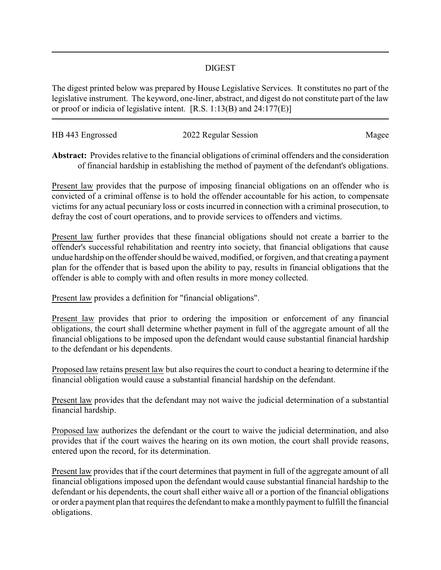## DIGEST

The digest printed below was prepared by House Legislative Services. It constitutes no part of the legislative instrument. The keyword, one-liner, abstract, and digest do not constitute part of the law or proof or indicia of legislative intent. [R.S. 1:13(B) and 24:177(E)]

| HB 443 Engrossed | 2022 Regular Session | Magee |
|------------------|----------------------|-------|
|                  |                      |       |

**Abstract:** Provides relative to the financial obligations of criminal offenders and the consideration of financial hardship in establishing the method of payment of the defendant's obligations.

Present law provides that the purpose of imposing financial obligations on an offender who is convicted of a criminal offense is to hold the offender accountable for his action, to compensate victims for any actual pecuniary loss or costs incurred in connection with a criminal prosecution, to defray the cost of court operations, and to provide services to offenders and victims.

Present law further provides that these financial obligations should not create a barrier to the offender's successful rehabilitation and reentry into society, that financial obligations that cause undue hardship on the offender should be waived, modified, or forgiven, and that creating a payment plan for the offender that is based upon the ability to pay, results in financial obligations that the offender is able to comply with and often results in more money collected.

Present law provides a definition for "financial obligations".

Present law provides that prior to ordering the imposition or enforcement of any financial obligations, the court shall determine whether payment in full of the aggregate amount of all the financial obligations to be imposed upon the defendant would cause substantial financial hardship to the defendant or his dependents.

Proposed law retains present law but also requires the court to conduct a hearing to determine if the financial obligation would cause a substantial financial hardship on the defendant.

Present law provides that the defendant may not waive the judicial determination of a substantial financial hardship.

Proposed law authorizes the defendant or the court to waive the judicial determination, and also provides that if the court waives the hearing on its own motion, the court shall provide reasons, entered upon the record, for its determination.

Present law provides that if the court determines that payment in full of the aggregate amount of all financial obligations imposed upon the defendant would cause substantial financial hardship to the defendant or his dependents, the court shall either waive all or a portion of the financial obligations or order a payment plan that requires the defendant to make a monthly payment to fulfill the financial obligations.